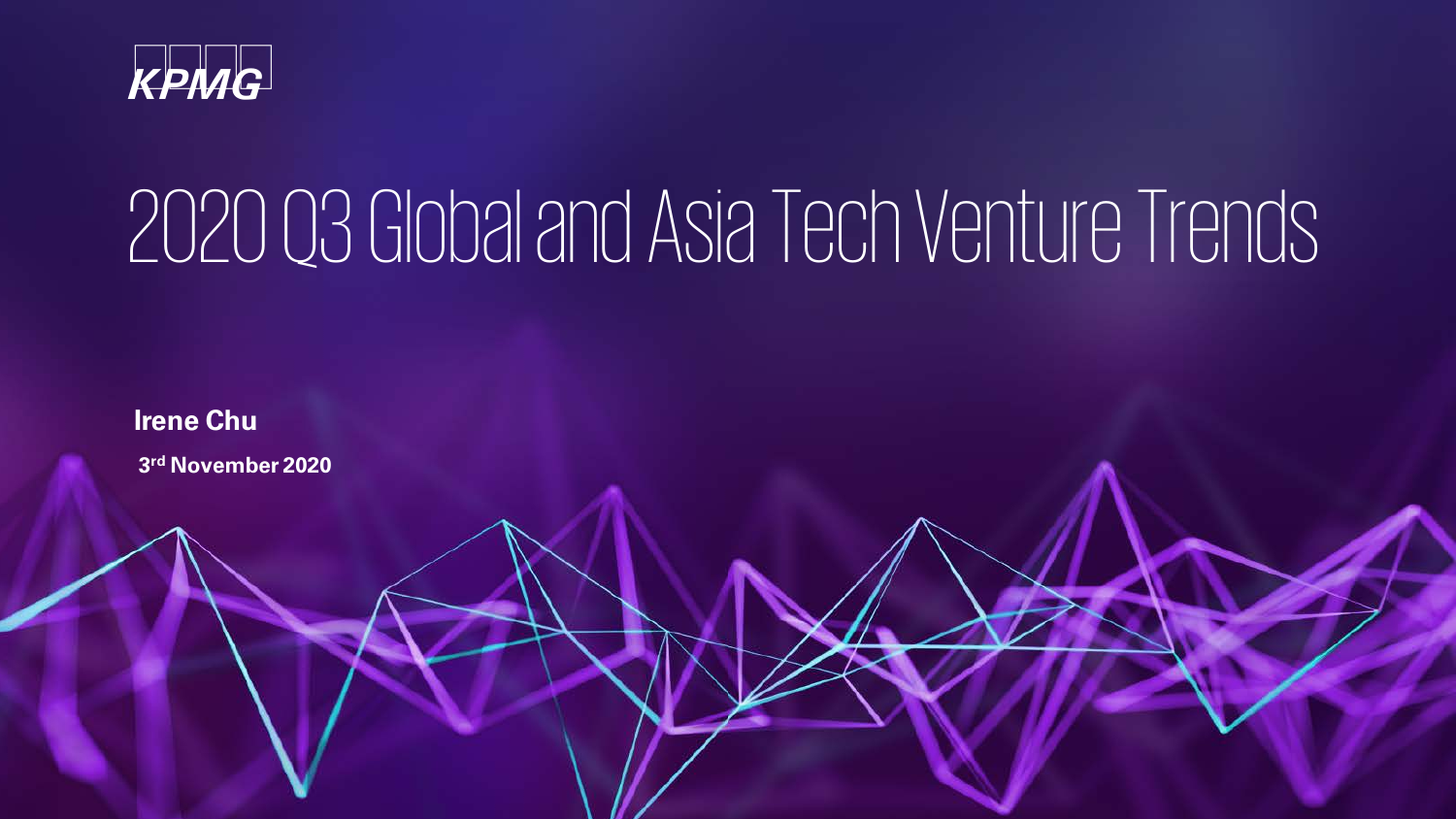

# 2020 Q3 Global and Asia Tech Venture Trends

**3rd November 2020 Irene Chu**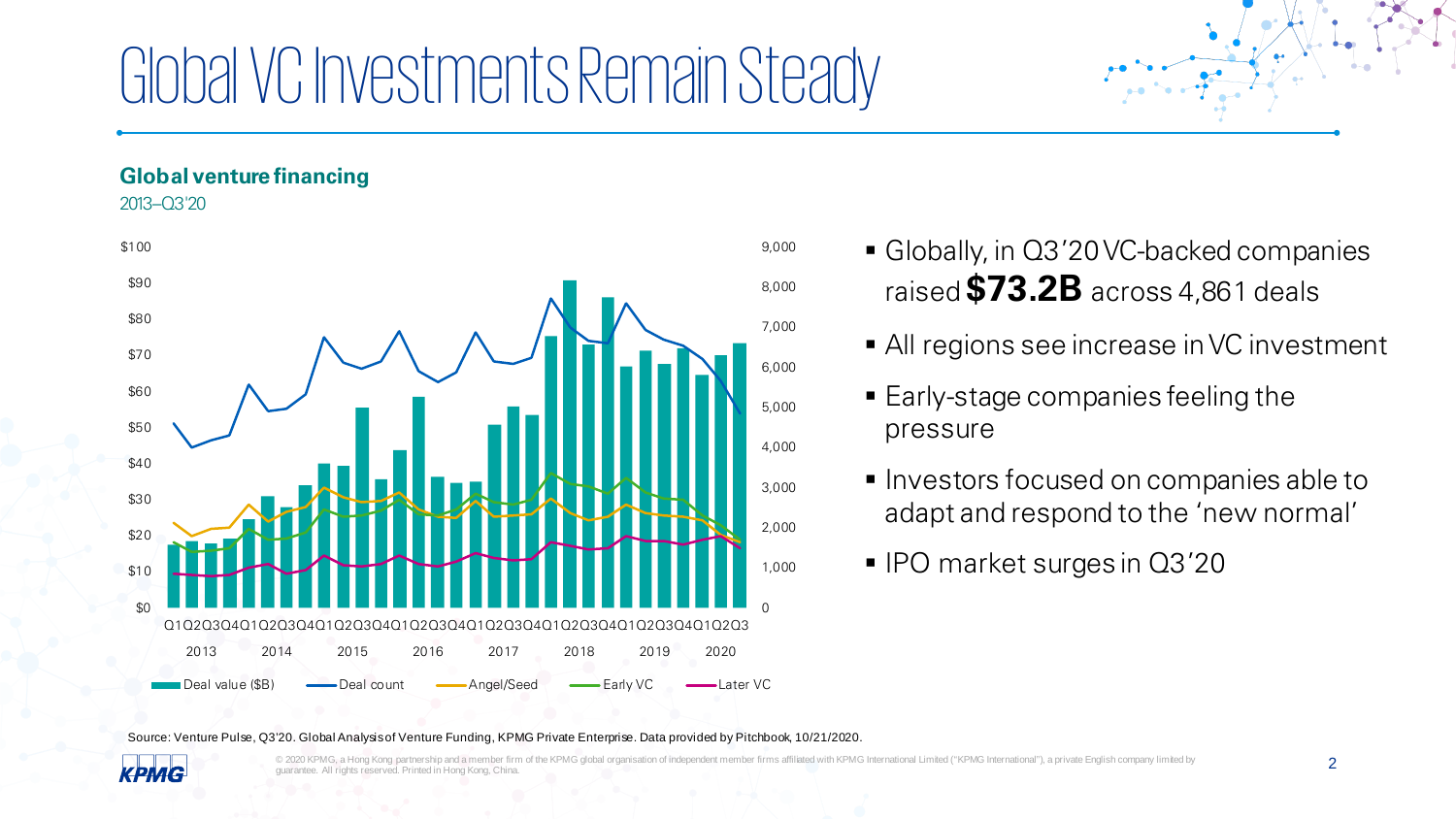# Global VC Investments Remain Steady

#### **Global venture financing**

2013–Q3'20



- Globally, in Q3'20 VC-backed companies raised **\$73.2B** across 4,861 deals
	- All regions see increase in VC investment
- Early-stage companies feeling the pressure
- **Investors focused on companies able to** adapt and respond to the 'new normal'
- IPO market surges in Q3'20

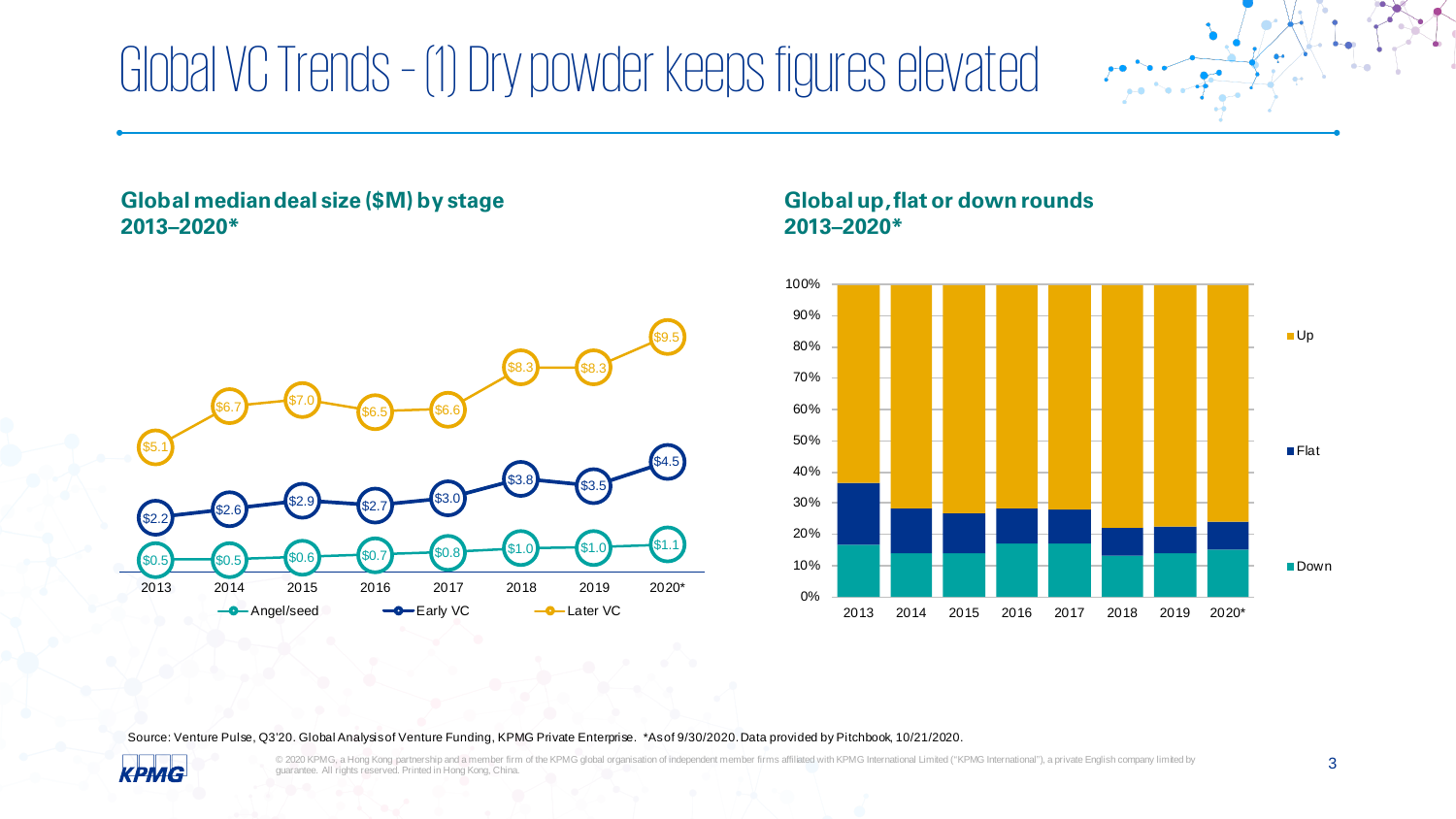### Global VC Trends – (1) Dry powder keeps figures elevated

#### **Global median deal size (\$M) by stage 2013–2020\***



#### **Global up, flat or down rounds 2013–2020\***



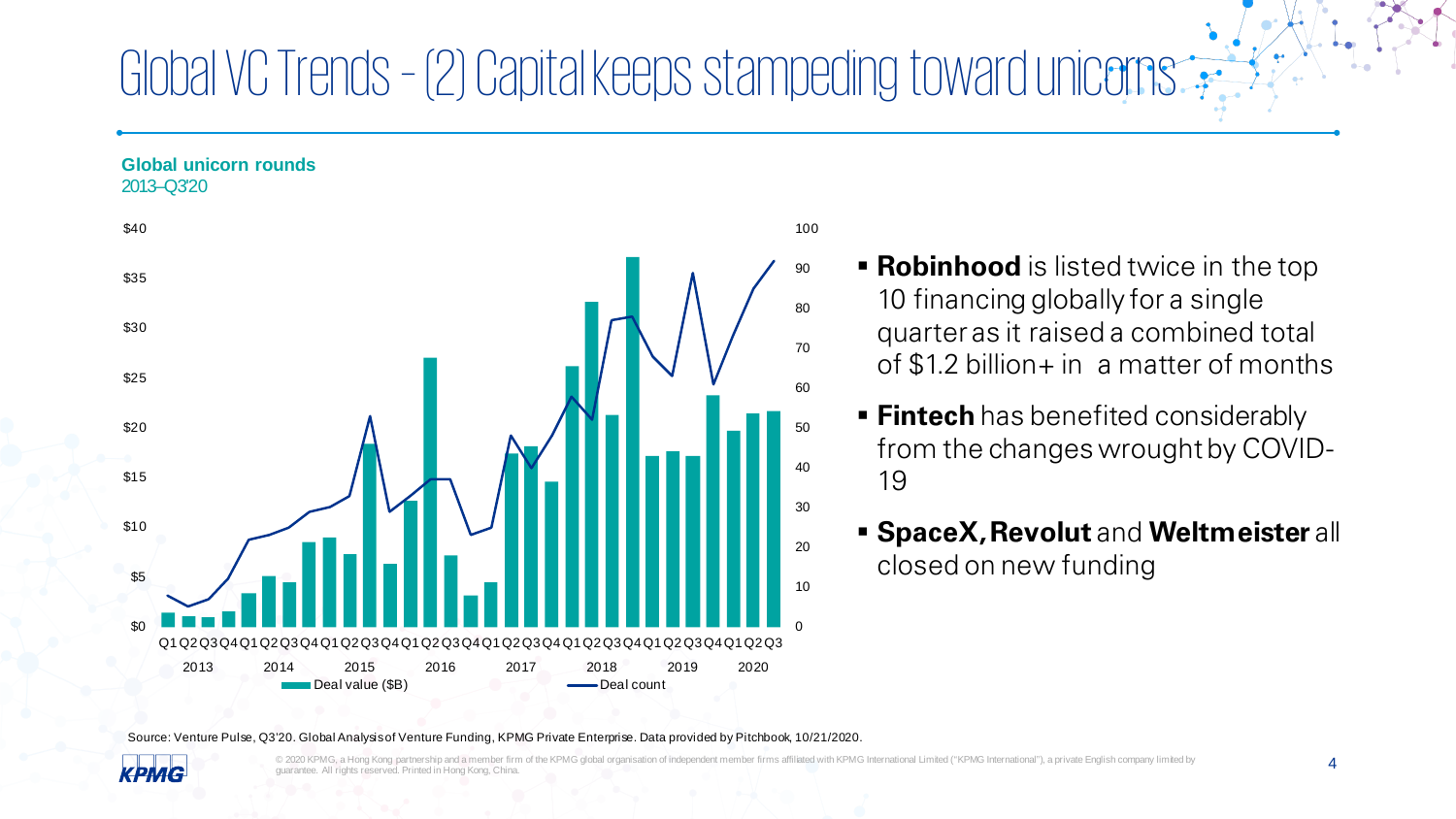### Global VC Trends – (2) Capital keeps stampeding toward unicorns

#### **Global unicorn rounds**

2013–Q3'20



#### 100

- **Robinhood** is listed twice in the top 10 financing globally for a single quarter as it raised a combined total of \$1.2 billion+ in a matter of months
- **Fintech** has benefited considerably from the changes wrought by COVID-19
- **SpaceX, Revolut** and **Weltmeister** all closed on new funding

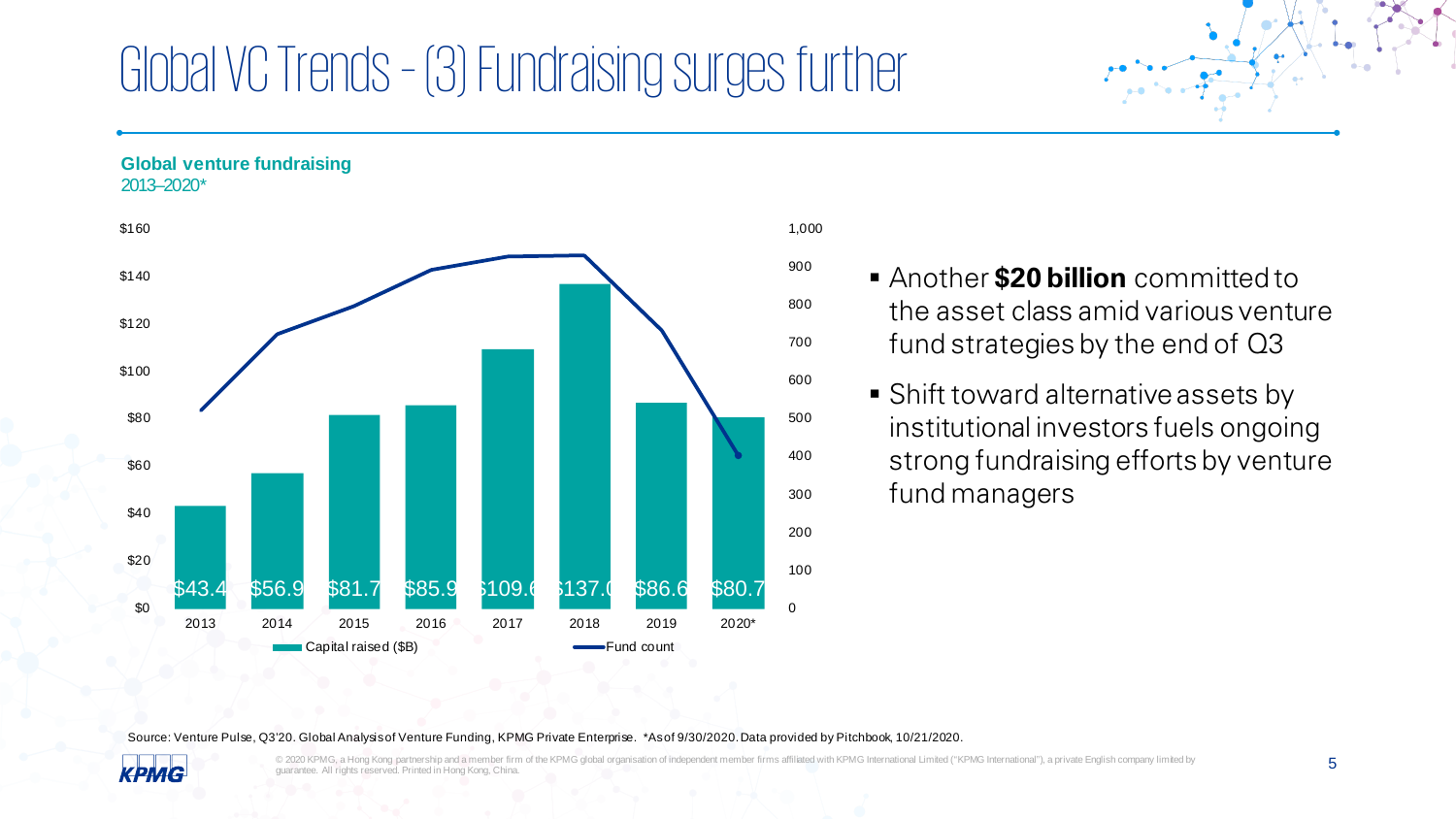### Global VC Trends – (3) Fundraising surges further

**Global venture fundraising** 2013–2020\*



#### 1,000

- Another **\$20 billion** committed to the asset class amid various venture fund strategies by the end of Q3
	- **Shift toward alternative assets by** institutional investors fuels ongoing strong fundraising efforts by venture fund managers

Source: Venture Pulse, Q3'20. Global Analysis of Venture Funding, KPMG Private Enterprise. \*As of 9/30/2020. Data provided by Pitchbook, 10/21/2020.

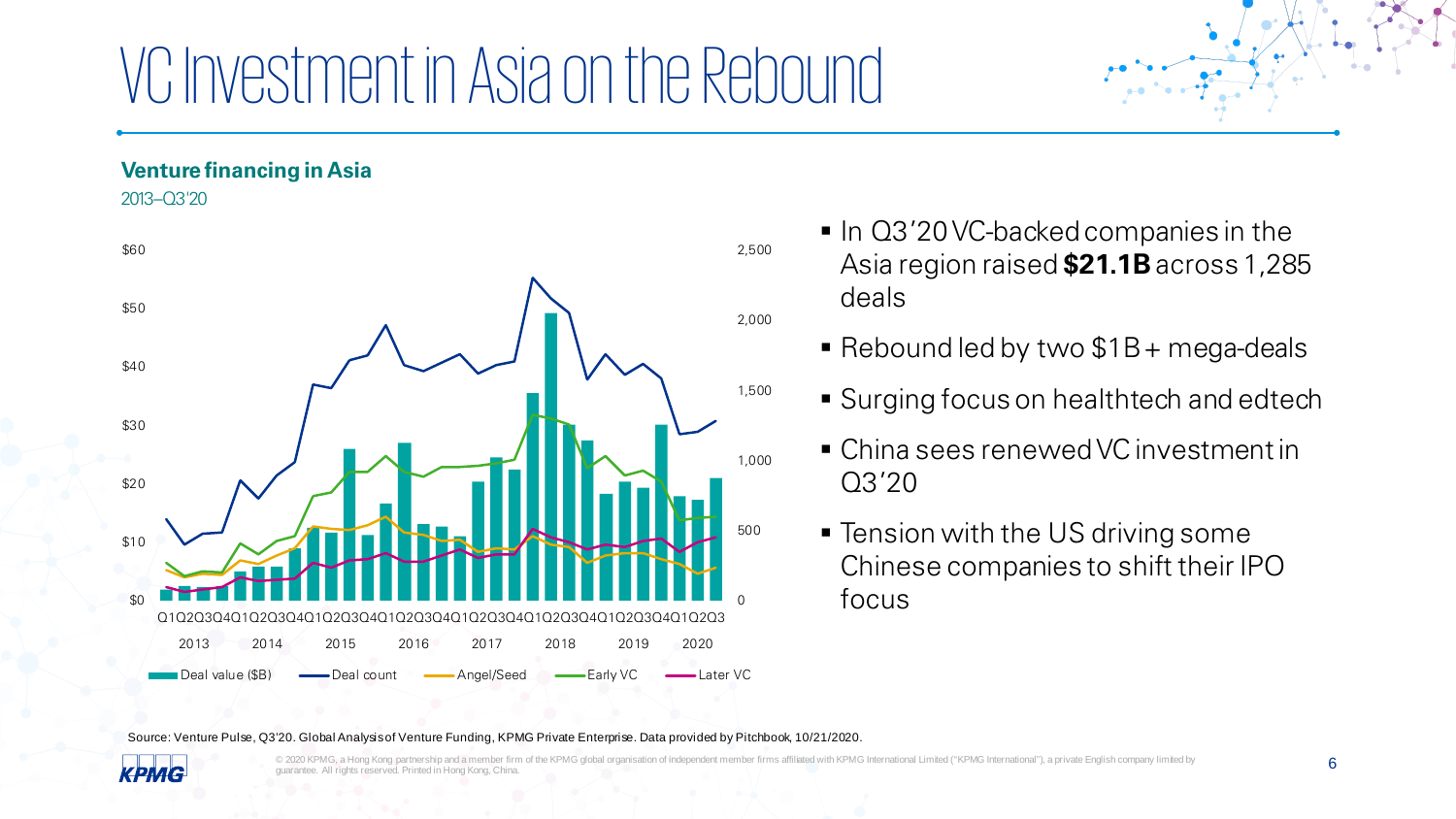# VC Investment in Asia on the Rebound

#### **Venture financing in Asia**

2013–Q3'20



- In Q3'20 VC-backed companies in the Asia region raised **\$21.1B** across 1,285 deals
- Rebound led by two  $$1B + mega-deals$
- **Surging focus on healthtech and edtech**
- China sees renewed VC investment in Q3'20
- **Tension with the US driving some** Chinese companies to shift their IPO focus

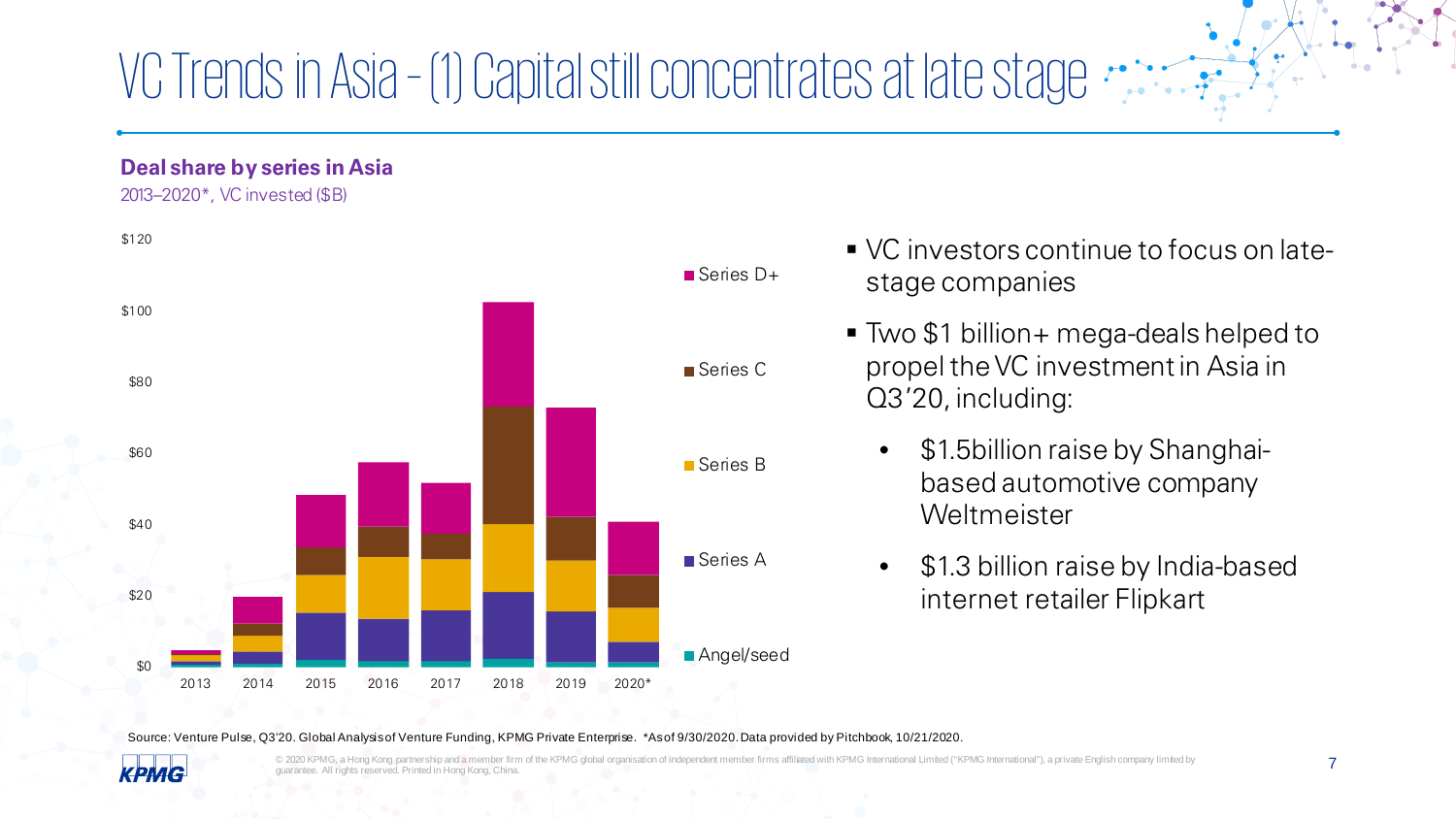### VC Trends in Asia – (1) Capital still concentrates at late stage

#### **Deal share by series in Asia**

2013–2020\*, VC invested (\$B)



- VC investors continue to focus on latestage companies
- Two \$1 billion+ mega-deals helped to propel the VC investment in Asia in Q3'20, including:
	- \$1.5billion raise by Shanghaibased automotive company Weltmeister
	- \$1.3 billion raise by India-based internet retailer Flipkart

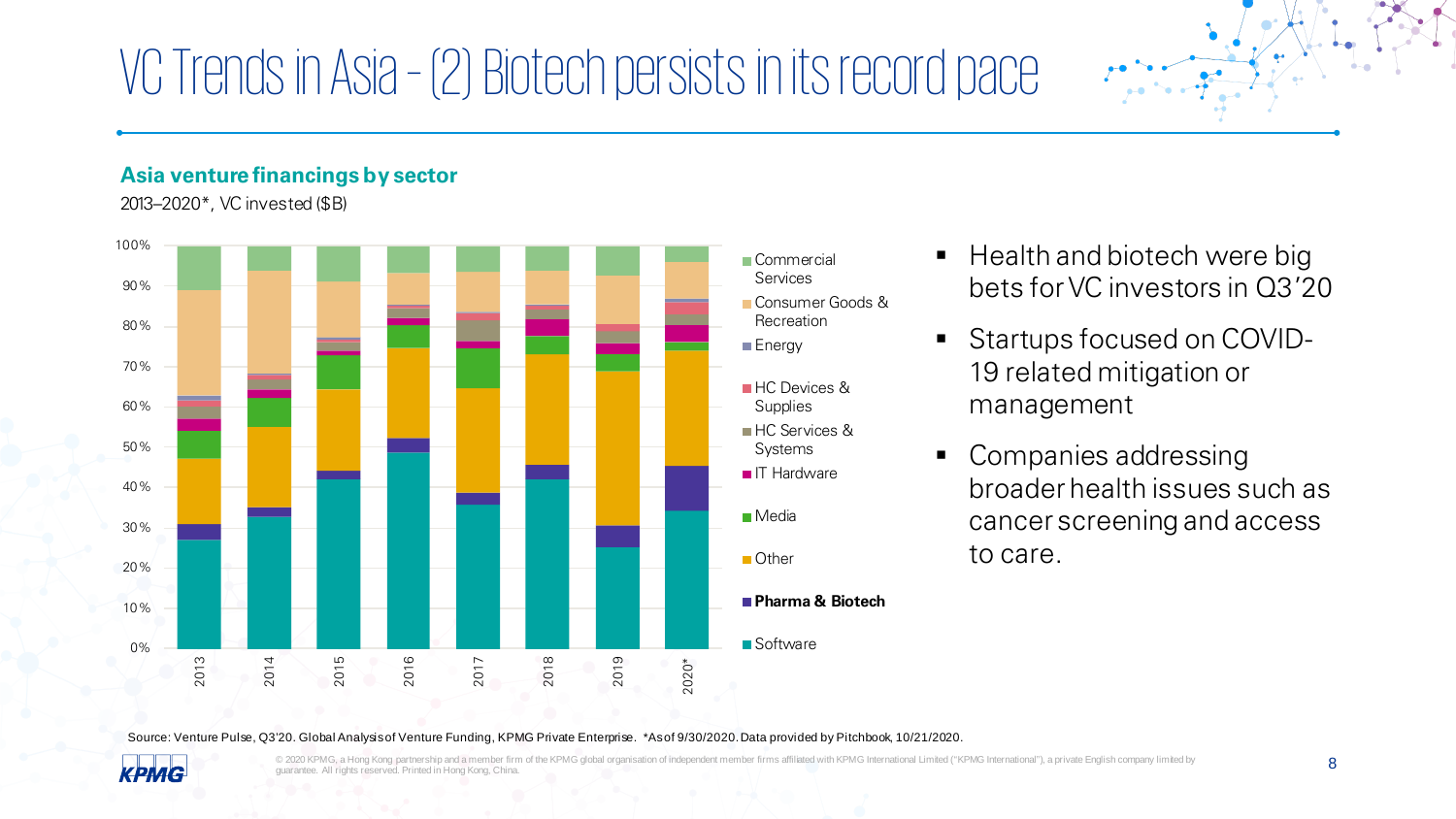### VC Trends in Asia – (2) Biotech persists in its record pace

#### **Asia venture financings by sector**

2013–2020\*, VC invested (\$B)



- $\blacksquare$  Health and biotech were big bets for VC investors in Q3'20
- Startups focused on COVID-19 related mitigation or management
- Companies addressing broader health issues such as cancer screening and access to care.

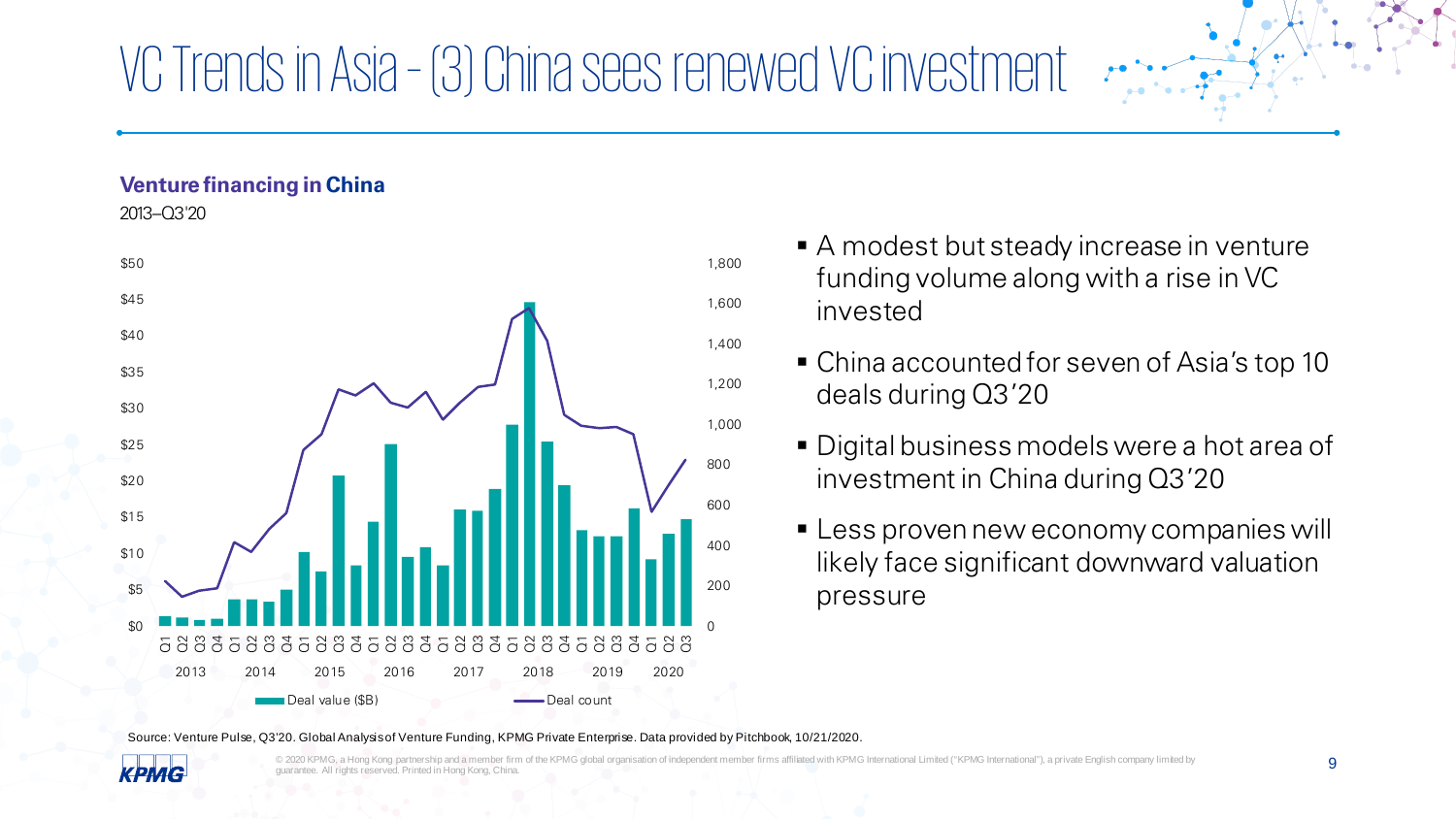### VC Trends in Asia – (3) China sees renewed VC investment

#### **Venture financing in China**

2013–Q3'20



- A modest but steady increase in venture funding volume along with a rise in VC invested
- China accounted for seven of Asia's top 10 deals during Q3'20
- Digital business models were a hot area of investment in China during Q3'20
- **Example 1 Less proven new economy companies will** likely face significant downward valuation pressure

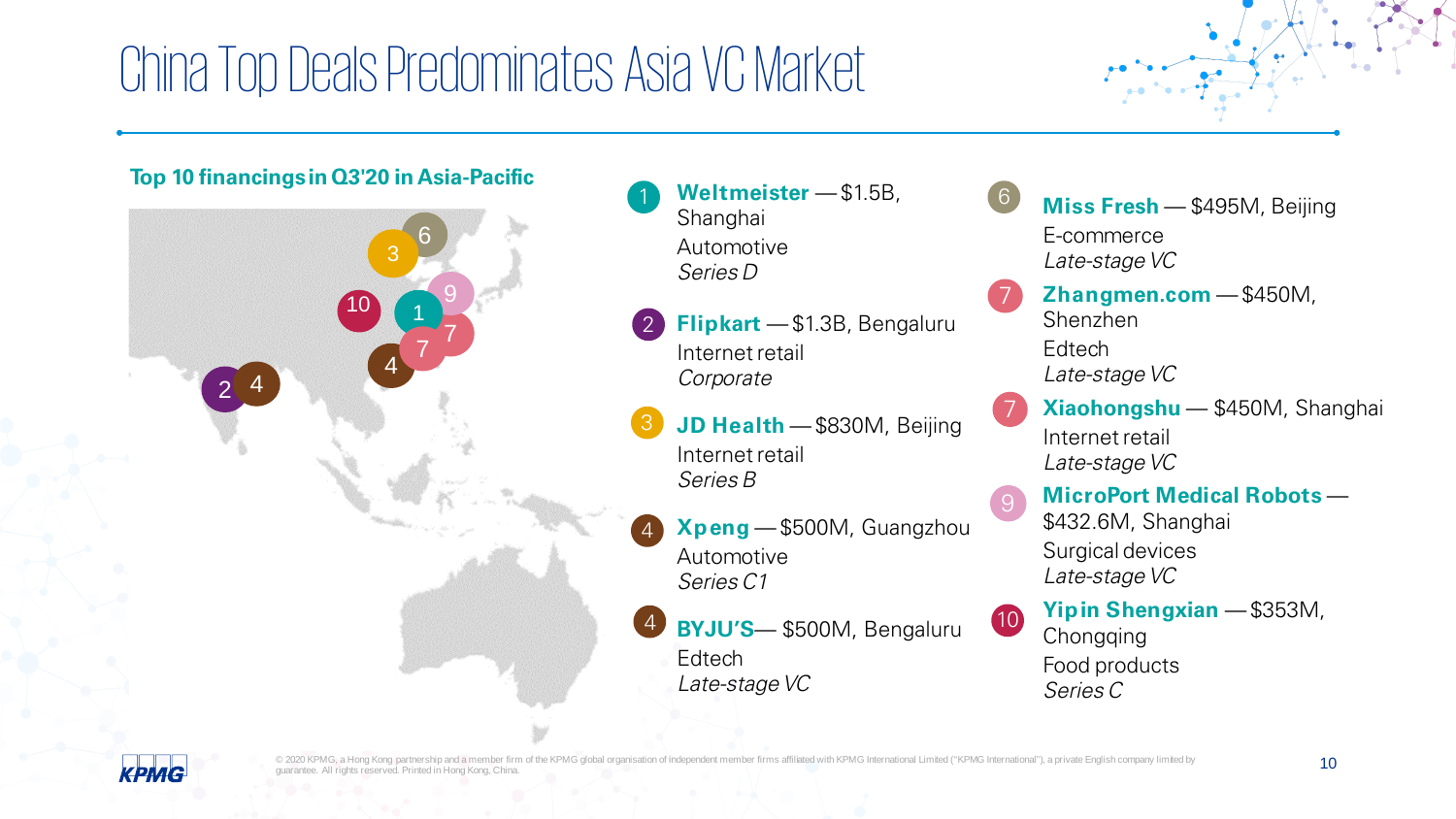### China Top Deals Predominates Asia VC Market





- 1 **Weltmeister** \$1.5B, Shanghai Automotive Series D
- **Flipkart**  \$1.3B, Bengaluru Internet retail Corporate 2
- **JD Health** \$830M, Beijing Internet retail Series B 3
- 4 **Xpeng** — \$500M, Guangzhou Automotive Series C1
- **BYJU'S** \$500M, Bengaluru **Edtech** Late-stage VC 4
- **Miss Fresh** \$495M, Beijing E-commerce Late-stage VC 6
- **Zhangmen.com**  \$450M, Shenzhen **Edtech** Late-stage VC 7
- **Xiaohongshu** \$450M, Shanghai Internet retail Late-stage VC 7
	- **MicroPort Medical Robots**  \$432.6M, Shanghai Surgical devices Late-stage VC

9

**Yipin Shengxian** — \$353M, Chongqing Food products Series C 10

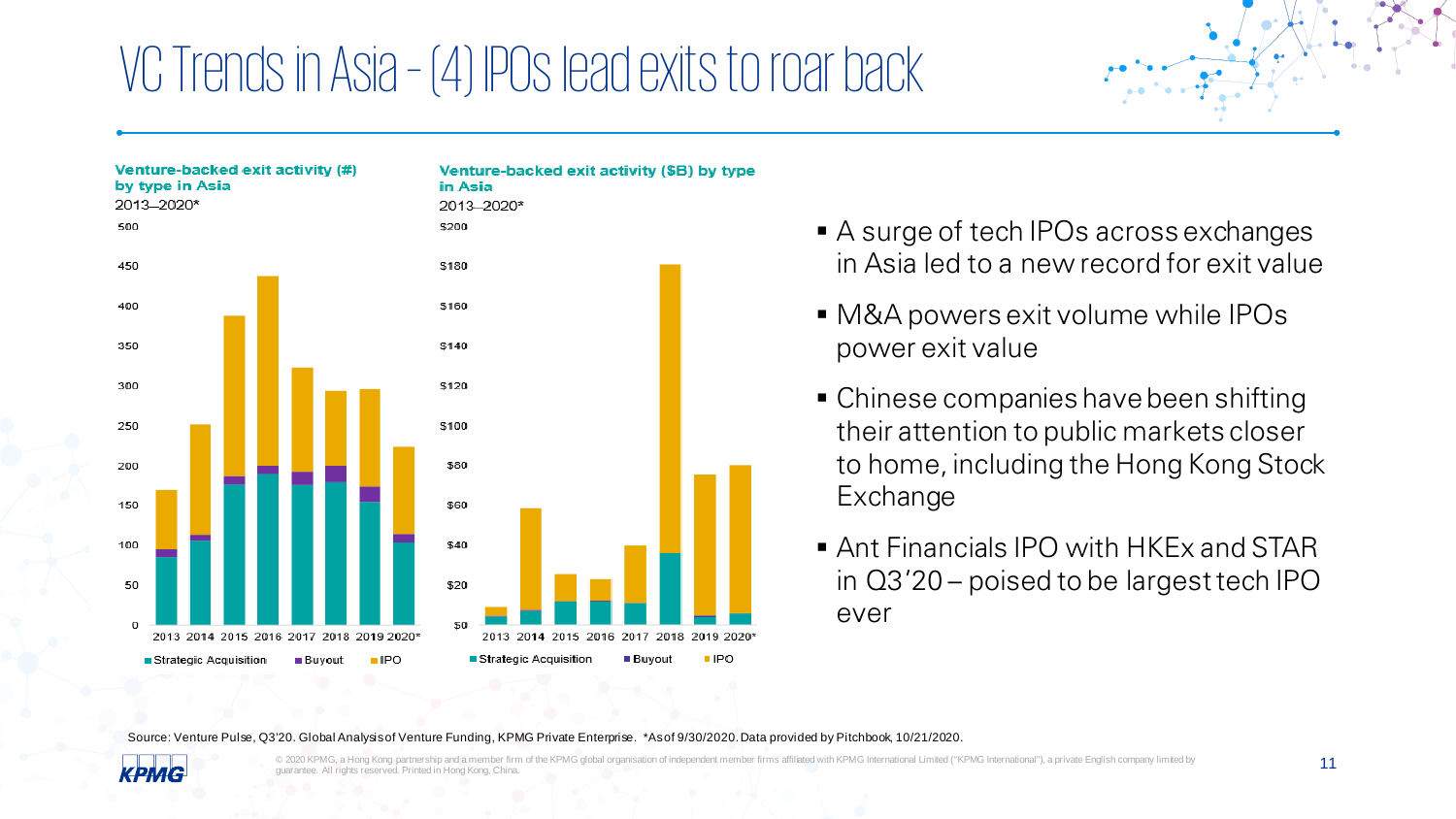### VC Trends in Asia – (4) IPOs lead exits to roar back



- A surge of tech IPOs across exchanges in Asia led to a new record for exit value
- M&A powers exit volume while IPOs power exit value
- Chinese companies have been shifting their attention to public markets closer to home, including the Hong Kong Stock Exchange
- Ant Financials IPO with HKEx and STAR in Q3'20 – poised to be largest tech IPO ever

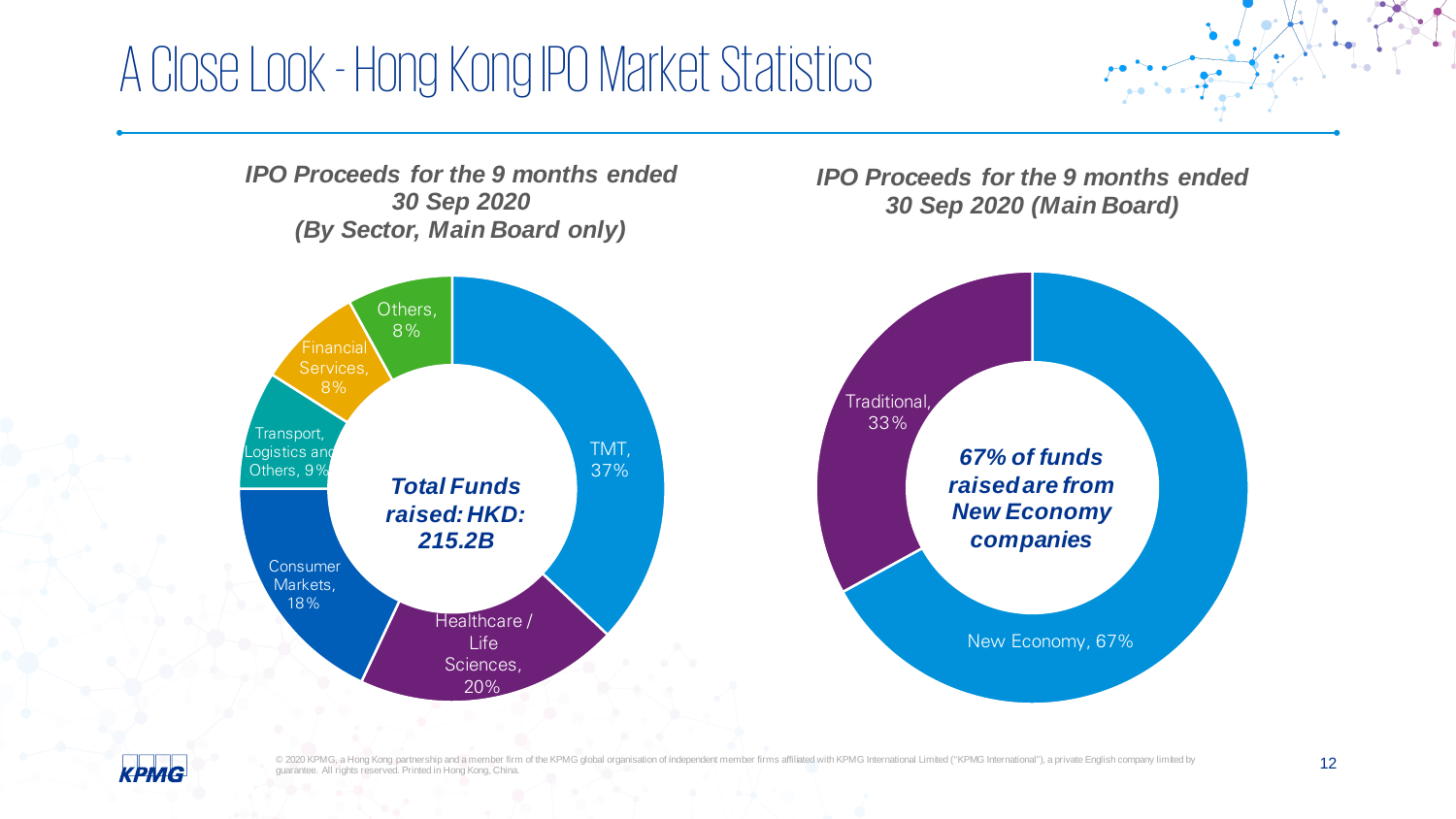### A Close Look -Hong Kong IPO Market Statistics

*IPO Proceeds for the 9 months ended 30 Sep 2020 (By Sector, Main Board only)*



*IPO Proceeds for the 9 months ended 30 Sep 2020 (Main Board)*



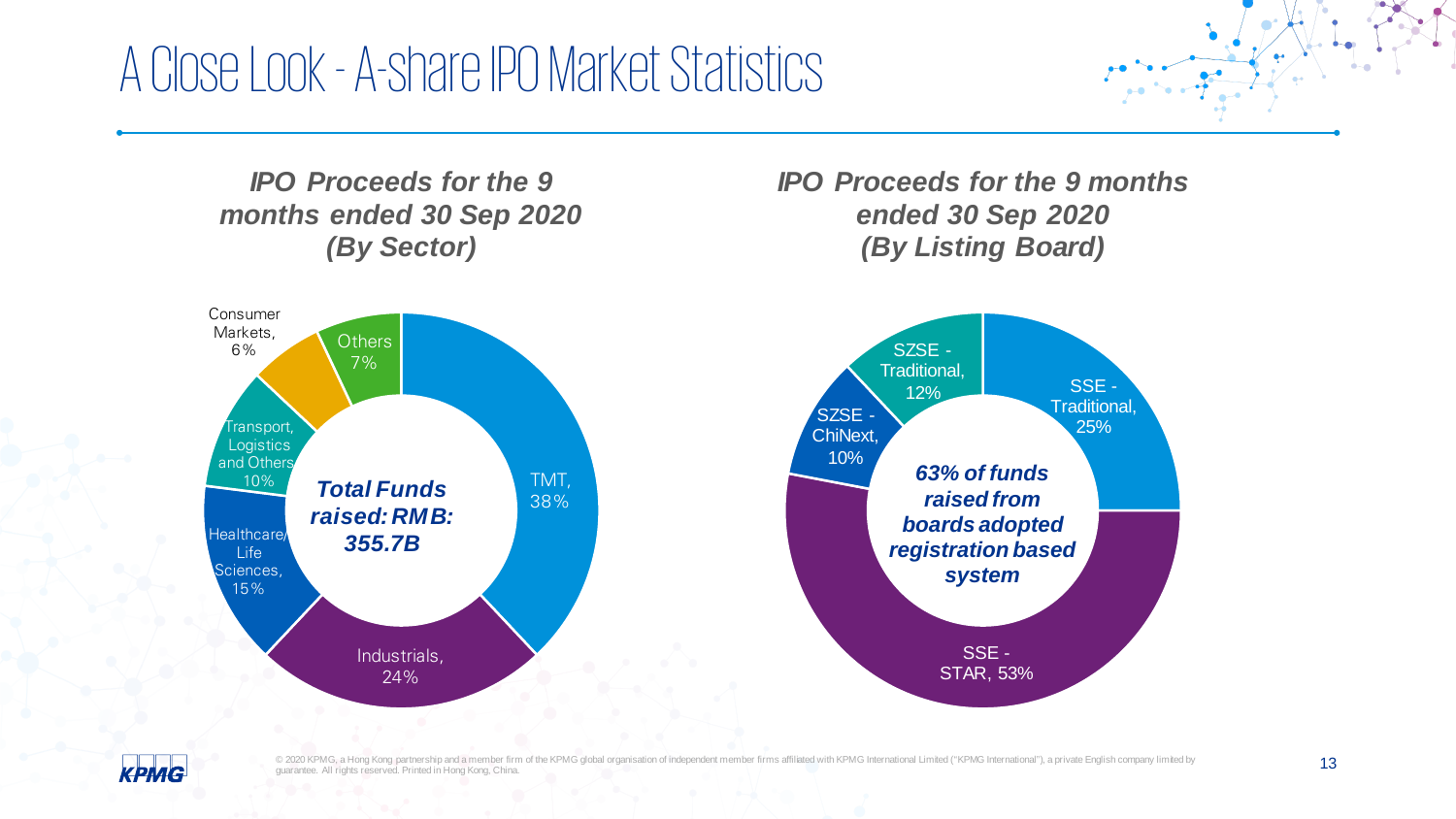### A Close Look -A-share IPO Market Statistics



*IPO Proceeds for the 9 months ended 30 Sep 2020 (By Listing Board)*



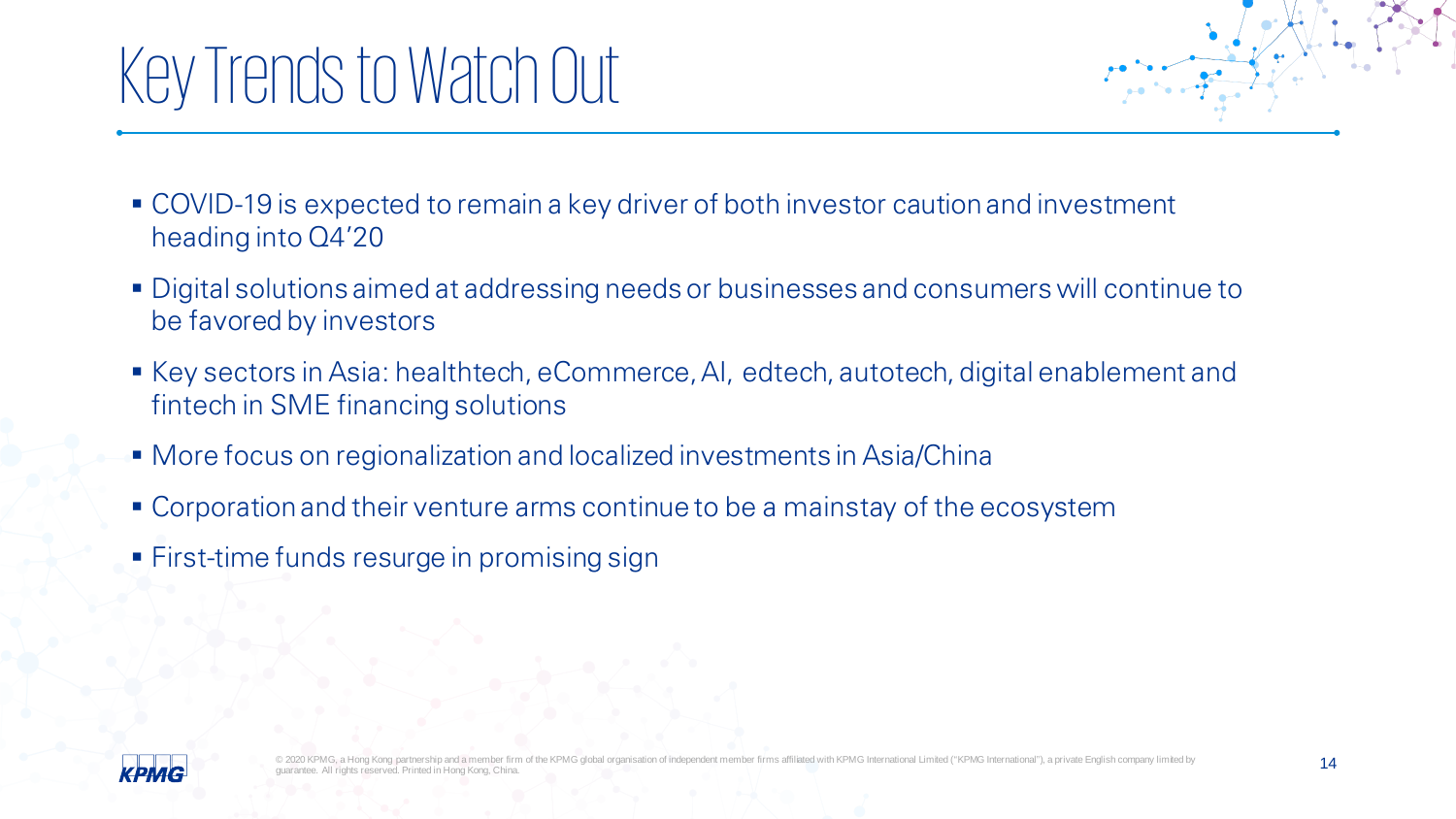# Key Trends to Watch Out

- COVID-19 is expected to remain a key driver of both investor caution and investment heading into Q4'20
- Digital solutions aimed at addressing needs or businesses and consumers will continue to be favored by investors
- Key sectors in Asia: healthtech, eCommerce, AI, edtech, autotech, digital enablement and fintech in SME financing solutions
- More focus on regionalization and localized investments in Asia/China
- Corporation and their venture arms continue to be a mainstay of the ecosystem
- **First-time funds resurge in promising sign**

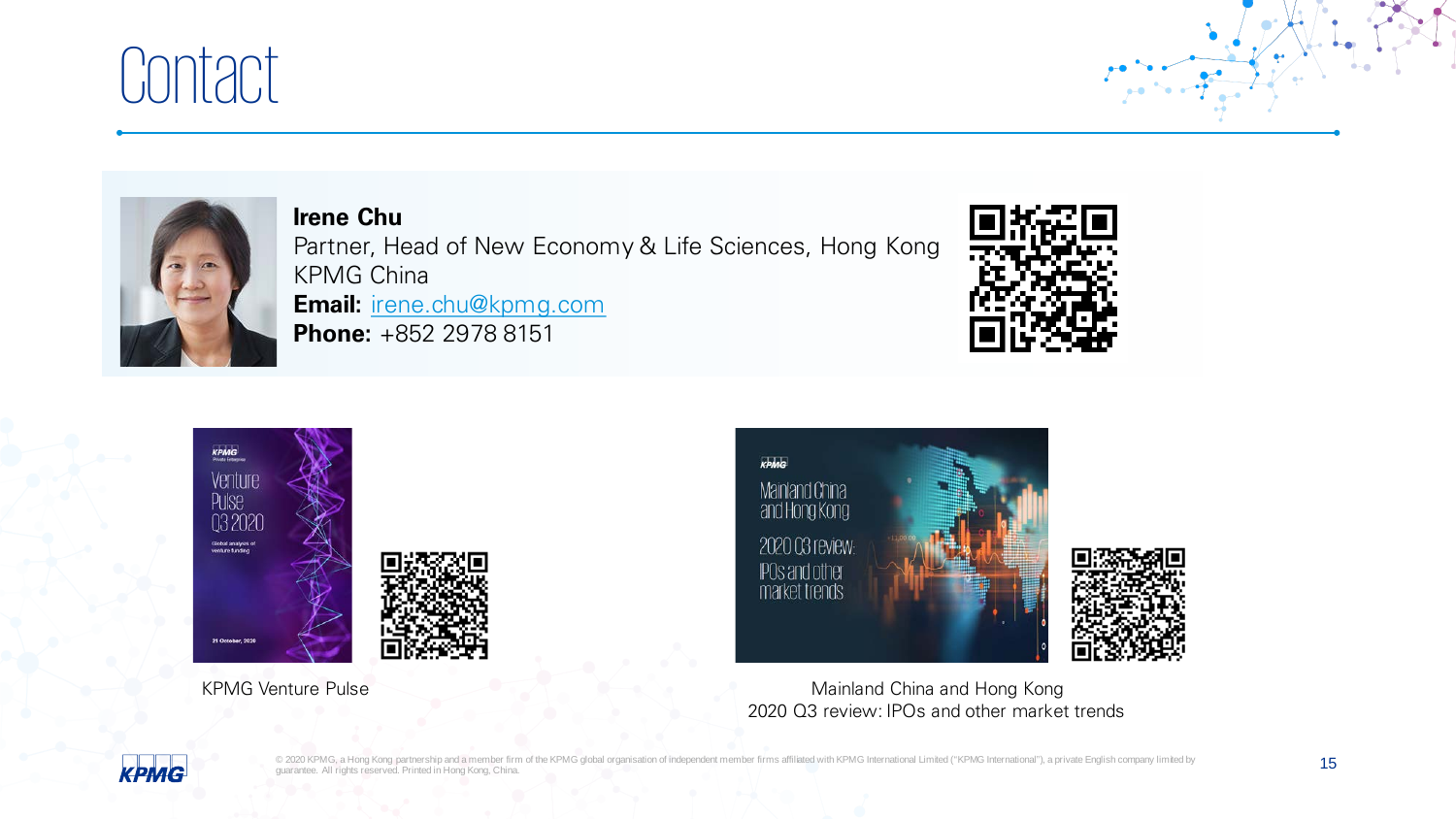## Contact



**Irene Chu** Partner, Head of New Economy & Life Sciences, Hong Kong KPMG China **Email:** [irene.chu@kpmg.com](mailto:irene.chu@kpmg.com) **Phone:** +852 2978 8151









KPMG Venture Pulse Mainland China and Hong Kong 2020 Q3 review: IPOs and other market trends